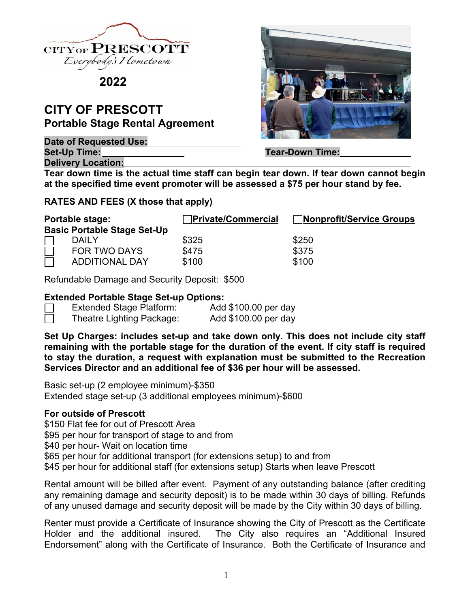

**2022**

# **CITY OF PRESCOTT Portable Stage Rental Agreement**

**Date of Requested Use:**  Set-Up Time: **Tear-Down Time:** Tear-Down Time:

**Delivery Location:** 

**Tear down time is the actual time staff can begin tear down. If tear down cannot begin at the specified time event promoter will be assessed a \$75 per hour stand by fee.** 

## **RATES AND FEES (X those that apply)**

| Portable stage:                    |                       | <b>Private/Commercial</b> | Nonprofit/Service Groups |
|------------------------------------|-----------------------|---------------------------|--------------------------|
| <b>Basic Portable Stage Set-Up</b> |                       |                           |                          |
|                                    | <b>DAILY</b>          | \$325                     | \$250                    |
|                                    | <b>FOR TWO DAYS</b>   | \$475                     | \$375                    |
|                                    | <b>ADDITIONAL DAY</b> | \$100                     | \$100                    |

Refundable Damage and Security Deposit: \$500

### **Extended Portable Stage Set-up Options:**

| <b>Extended Stage Platform:</b> | Add \$100.00 per day |
|---------------------------------|----------------------|
| Theatre Lighting Package:       | Add \$100.00 per day |

**Set Up Charges: includes set-up and take down only. This does not include city staff remaining with the portable stage for the duration of the event. If city staff is required to stay the duration, a request with explanation must be submitted to the Recreation Services Director and an additional fee of \$36 per hour will be assessed.** 

Basic set-up (2 employee minimum)-\$350 Extended stage set-up (3 additional employees minimum)-\$600

### **For outside of Prescott**

\$150 Flat fee for out of Prescott Area \$95 per hour for transport of stage to and from \$40 per hour- Wait on location time \$65 per hour for additional transport (for extensions setup) to and from \$45 per hour for additional staff (for extensions setup) Starts when leave Prescott

Rental amount will be billed after event. Payment of any outstanding balance (after crediting any remaining damage and security deposit) is to be made within 30 days of billing. Refunds of any unused damage and security deposit will be made by the City within 30 days of billing.

Renter must provide a Certificate of Insurance showing the City of Prescott as the Certificate Holder and the additional insured. The City also requires an "Additional Insured Endorsement" along with the Certificate of Insurance. Both the Certificate of Insurance and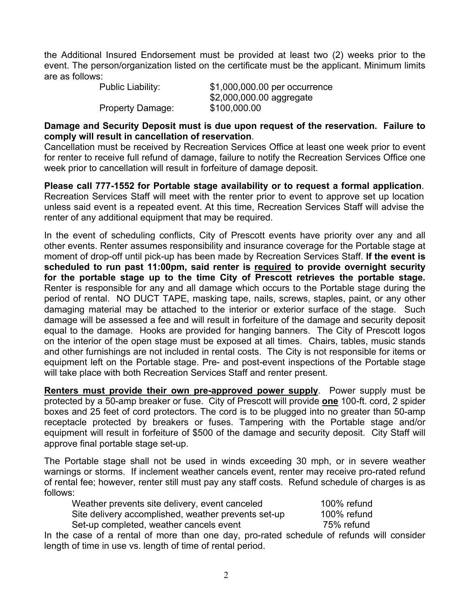the Additional Insured Endorsement must be provided at least two (2) weeks prior to the event. The person/organization listed on the certificate must be the applicant. Minimum limits are as follows:

 Public Liability: \$1,000,000.00 per occurrence \$2,000,000.00 aggregate Property Damage: \$100,000.00

**Damage and Security Deposit must is due upon request of the reservation. Failure to comply will result in cancellation of reservation**.

Cancellation must be received by Recreation Services Office at least one week prior to event for renter to receive full refund of damage, failure to notify the Recreation Services Office one week prior to cancellation will result in forfeiture of damage deposit.

**Please call 777-1552 for Portable stage availability or to request a formal application**. Recreation Services Staff will meet with the renter prior to event to approve set up location unless said event is a repeated event. At this time, Recreation Services Staff will advise the renter of any additional equipment that may be required.

In the event of scheduling conflicts, City of Prescott events have priority over any and all other events. Renter assumes responsibility and insurance coverage for the Portable stage at moment of drop-off until pick-up has been made by Recreation Services Staff. **If the event is scheduled to run past 11:00pm, said renter is required to provide overnight security for the portable stage up to the time City of Prescott retrieves the portable stage.** Renter is responsible for any and all damage which occurs to the Portable stage during the period of rental. NO DUCT TAPE, masking tape, nails, screws, staples, paint, or any other damaging material may be attached to the interior or exterior surface of the stage. Such damage will be assessed a fee and will result in forfeiture of the damage and security deposit equal to the damage. Hooks are provided for hanging banners. The City of Prescott logos on the interior of the open stage must be exposed at all times. Chairs, tables, music stands and other furnishings are not included in rental costs. The City is not responsible for items or equipment left on the Portable stage. Pre- and post-event inspections of the Portable stage will take place with both Recreation Services Staff and renter present.

**Renters must provide their own pre-approved power supply**. Power supply must be protected by a 50-amp breaker or fuse. City of Prescott will provide **one** 100-ft. cord, 2 spider boxes and 25 feet of cord protectors. The cord is to be plugged into no greater than 50-amp receptacle protected by breakers or fuses. Tampering with the Portable stage and/or equipment will result in forfeiture of \$500 of the damage and security deposit. City Staff will approve final portable stage set-up.

The Portable stage shall not be used in winds exceeding 30 mph, or in severe weather warnings or storms. If inclement weather cancels event, renter may receive pro-rated refund of rental fee; however, renter still must pay any staff costs. Refund schedule of charges is as follows:

| Weather prevents site delivery, event canceled      | 100% refund |
|-----------------------------------------------------|-------------|
| Site delivery accomplished, weather prevents set-up | 100% refund |
| Set-up completed, weather cancels event             | 75% refund  |

In the case of a rental of more than one day, pro-rated schedule of refunds will consider length of time in use vs. length of time of rental period.